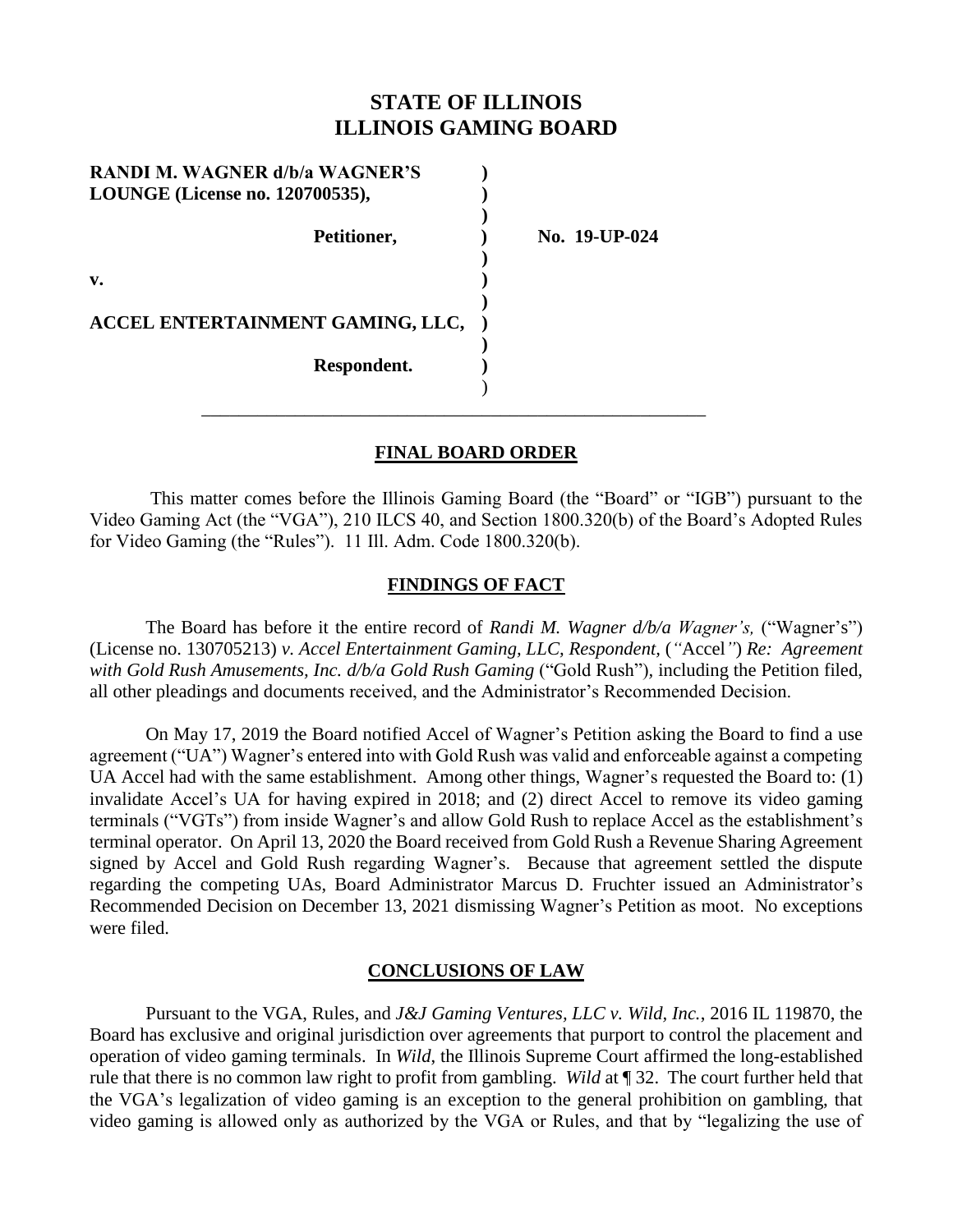# **STATE OF ILLINOIS ILLINOIS GAMING BOARD**

| No. 19-UP-024 |
|---------------|
|               |
|               |
|               |
|               |

## **FINAL BOARD ORDER**

\_\_\_\_\_\_\_\_\_\_\_\_\_\_\_\_\_\_\_\_\_\_\_\_\_\_\_\_\_\_\_\_\_\_\_\_\_\_\_\_\_\_\_\_\_\_\_\_\_\_\_\_\_\_

This matter comes before the Illinois Gaming Board (the "Board" or "IGB") pursuant to the Video Gaming Act (the "VGA"), 210 ILCS 40, and Section 1800.320(b) of the Board's Adopted Rules for Video Gaming (the "Rules"). 11 Ill. Adm. Code 1800.320(b).

## **FINDINGS OF FACT**

The Board has before it the entire record of *Randi M. Wagner d/b/a Wagner's,* ("Wagner's") (License no. 130705213) *v. Accel Entertainment Gaming, LLC, Respondent,* (*"*Accel*"*) *Re: Agreement*  with Gold Rush Amusements, Inc.  $d/b/a$  Gold Rush Gaming ("Gold Rush"), including the Petition filed, all other pleadings and documents received, and the Administrator's Recommended Decision.

On May 17, 2019 the Board notified Accel of Wagner's Petition asking the Board to find a use agreement ("UA") Wagner's entered into with Gold Rush was valid and enforceable against a competing UA Accel had with the same establishment. Among other things, Wagner's requested the Board to: (1) invalidate Accel's UA for having expired in 2018; and (2) direct Accel to remove its video gaming terminals ("VGTs") from inside Wagner's and allow Gold Rush to replace Accel as the establishment's terminal operator. On April 13, 2020 the Board received from Gold Rush a Revenue Sharing Agreement signed by Accel and Gold Rush regarding Wagner's. Because that agreement settled the dispute regarding the competing UAs, Board Administrator Marcus D. Fruchter issued an Administrator's Recommended Decision on December 13, 2021 dismissing Wagner's Petition as moot. No exceptions were filed.

#### **CONCLUSIONS OF LAW**

Pursuant to the VGA, Rules, and *J&J Gaming Ventures, LLC v. Wild, Inc.*, 2016 IL 119870, the Board has exclusive and original jurisdiction over agreements that purport to control the placement and operation of video gaming terminals. In *Wild*, the Illinois Supreme Court affirmed the long-established rule that there is no common law right to profit from gambling. *Wild* at ¶ 32. The court further held that the VGA's legalization of video gaming is an exception to the general prohibition on gambling, that video gaming is allowed only as authorized by the VGA or Rules, and that by "legalizing the use of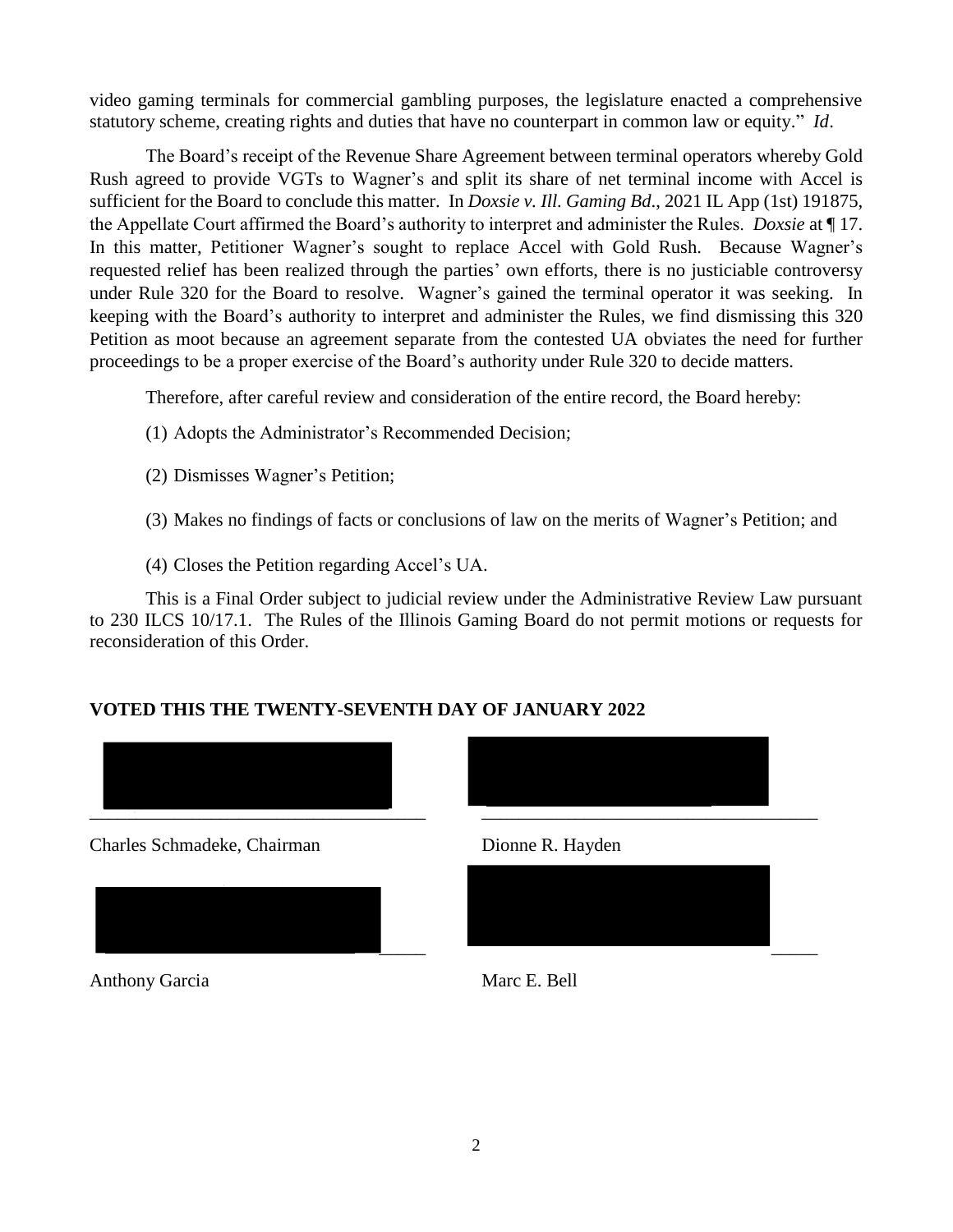video gaming terminals for commercial gambling purposes, the legislature enacted a comprehensive statutory scheme, creating rights and duties that have no counterpart in common law or equity." *Id*.

The Board's receipt of the Revenue Share Agreement between terminal operators whereby Gold Rush agreed to provide VGTs to Wagner's and split its share of net terminal income with Accel is sufficient for the Board to conclude this matter. In *Doxsie v. Ill. Gaming Bd*., 2021 IL App (1st) 191875, the Appellate Court affirmed the Board's authority to interpret and administer the Rules. *Doxsie* at ¶ 17. In this matter, Petitioner Wagner's sought to replace Accel with Gold Rush. Because Wagner's requested relief has been realized through the parties' own efforts, there is no justiciable controversy under Rule 320 for the Board to resolve. Wagner's gained the terminal operator it was seeking. In keeping with the Board's authority to interpret and administer the Rules, we find dismissing this 320 Petition as moot because an agreement separate from the contested UA obviates the need for further proceedings to be a proper exercise of the Board's authority under Rule 320 to decide matters.

Therefore, after careful review and consideration of the entire record, the Board hereby:

- (1) Adopts the Administrator's Recommended Decision;
- (2) Dismisses Wagner's Petition;
- (3) Makes no findings of facts or conclusions of law on the merits of Wagner's Petition; and
- (4) Closes the Petition regarding Accel's UA.

This is a Final Order subject to judicial review under the Administrative Review Law pursuant to 230 ILCS 10/17.1. The Rules of the Illinois Gaming Board do not permit motions or requests for reconsideration of this Order.

# **VOTED THIS THE TWENTY-SEVENTH DAY OF JANUARY 2022**



Anthony Garcia Marc E. Bell

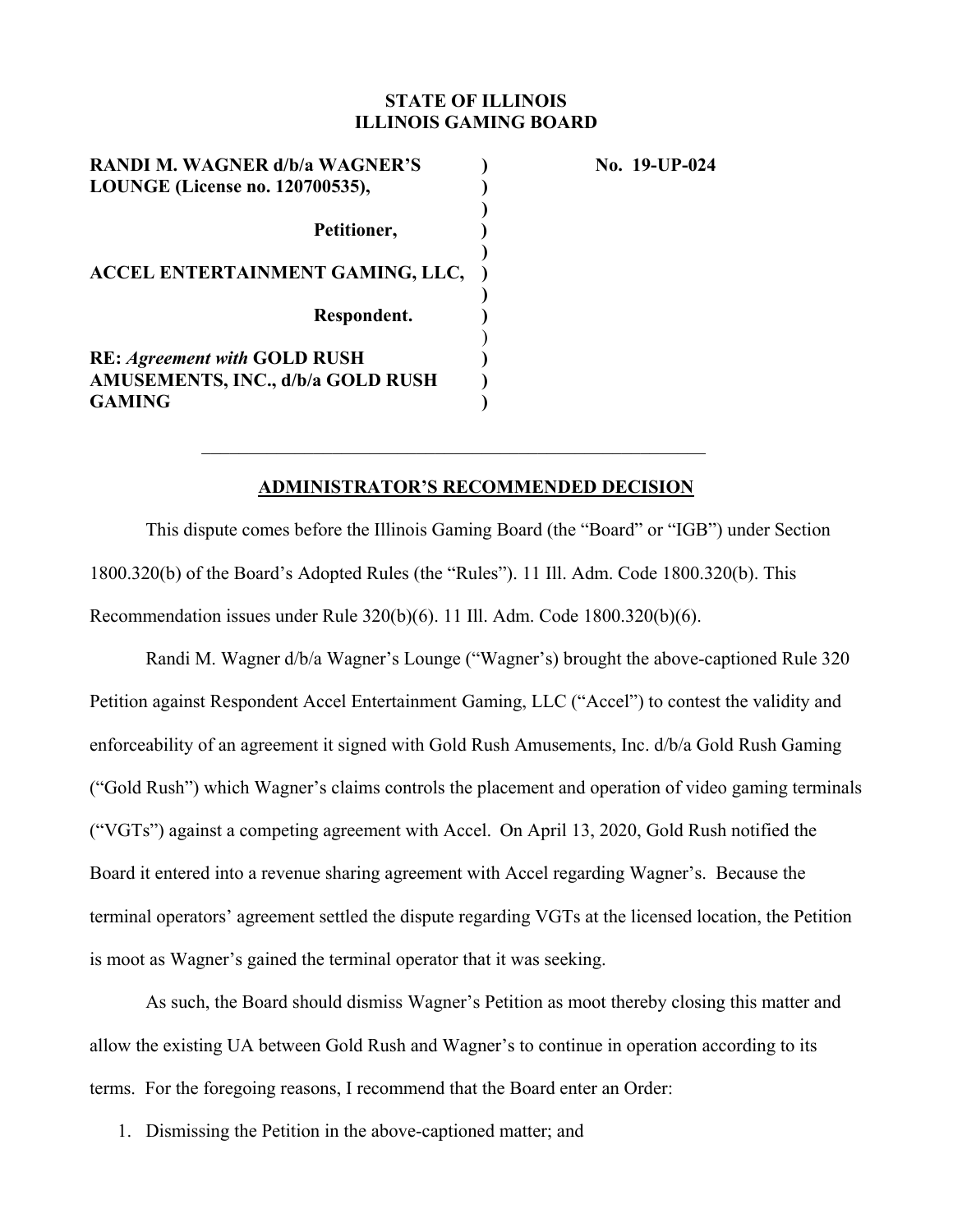## **STATE OF ILLINOIS ILLINOIS GAMING BOARD**

**RANDI M. WAGNER d/b/a WAGNER'S ) No. 19-UP-024 LOUNGE (License no. 120700535),**  $\qquad \qquad$  )  **)**  Petitioner, and **particular ) ACCEL ENTERTAINMENT GAMING, LLC, ) ) Respondent. )**   $)$ **RE:** *Agreement with* **GOLD RUSH ) AMUSEMENTS, INC., d/b/a GOLD RUSH )**  GAMING  $\qquad \qquad$  **)** 

## **ADMINISTRATOR'S RECOMMENDED DECISION**

This dispute comes before the Illinois Gaming Board (the "Board" or "IGB") under Section 1800.320(b) of the Board's Adopted Rules (the "Rules"). 11 Ill. Adm. Code 1800.320(b). This Recommendation issues under Rule 320(b)(6). 11 Ill. Adm. Code 1800.320(b)(6).

Randi M. Wagner d/b/a Wagner's Lounge ("Wagner's) brought the above-captioned Rule 320 Petition against Respondent Accel Entertainment Gaming, LLC ("Accel") to contest the validity and enforceability of an agreement it signed with Gold Rush Amusements, Inc. d/b/a Gold Rush Gaming ("Gold Rush") which Wagner's claims controls the placement and operation of video gaming terminals ("VGTs") against a competing agreement with Accel. On April 13, 2020, Gold Rush notified the Board it entered into a revenue sharing agreement with Accel regarding Wagner's. Because the terminal operators' agreement settled the dispute regarding VGTs at the licensed location, the Petition is moot as Wagner's gained the terminal operator that it was seeking.

As such, the Board should dismiss Wagner's Petition as moot thereby closing this matter and allow the existing UA between Gold Rush and Wagner's to continue in operation according to its terms. For the foregoing reasons, I recommend that the Board enter an Order:

1. Dismissing the Petition in the above-captioned matter; and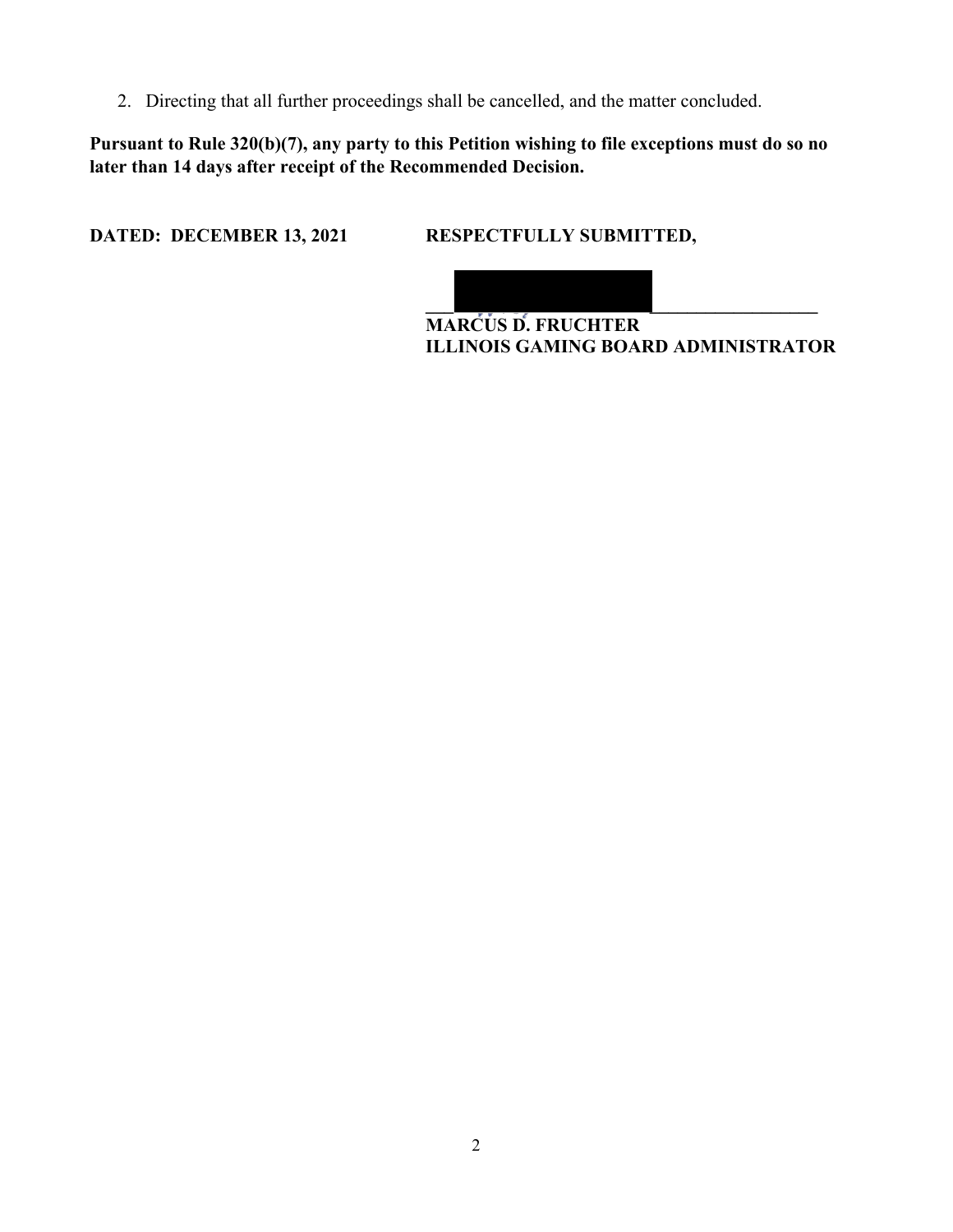2. Directing that all further proceedings shall be cancelled, and the matter concluded.

**Pursuant to Rule 320(b)(7), any party to this Petition wishing to file exceptions must do so no later than 14 days after receipt of the Recommended Decision.** 

**DATED: DECEMBER 13, 2021 RESPECTFULLY SUBMITTED,** 



**MARCUS D. FRUCHTER ILLINOIS GAMING BOARD ADMINISTRATOR**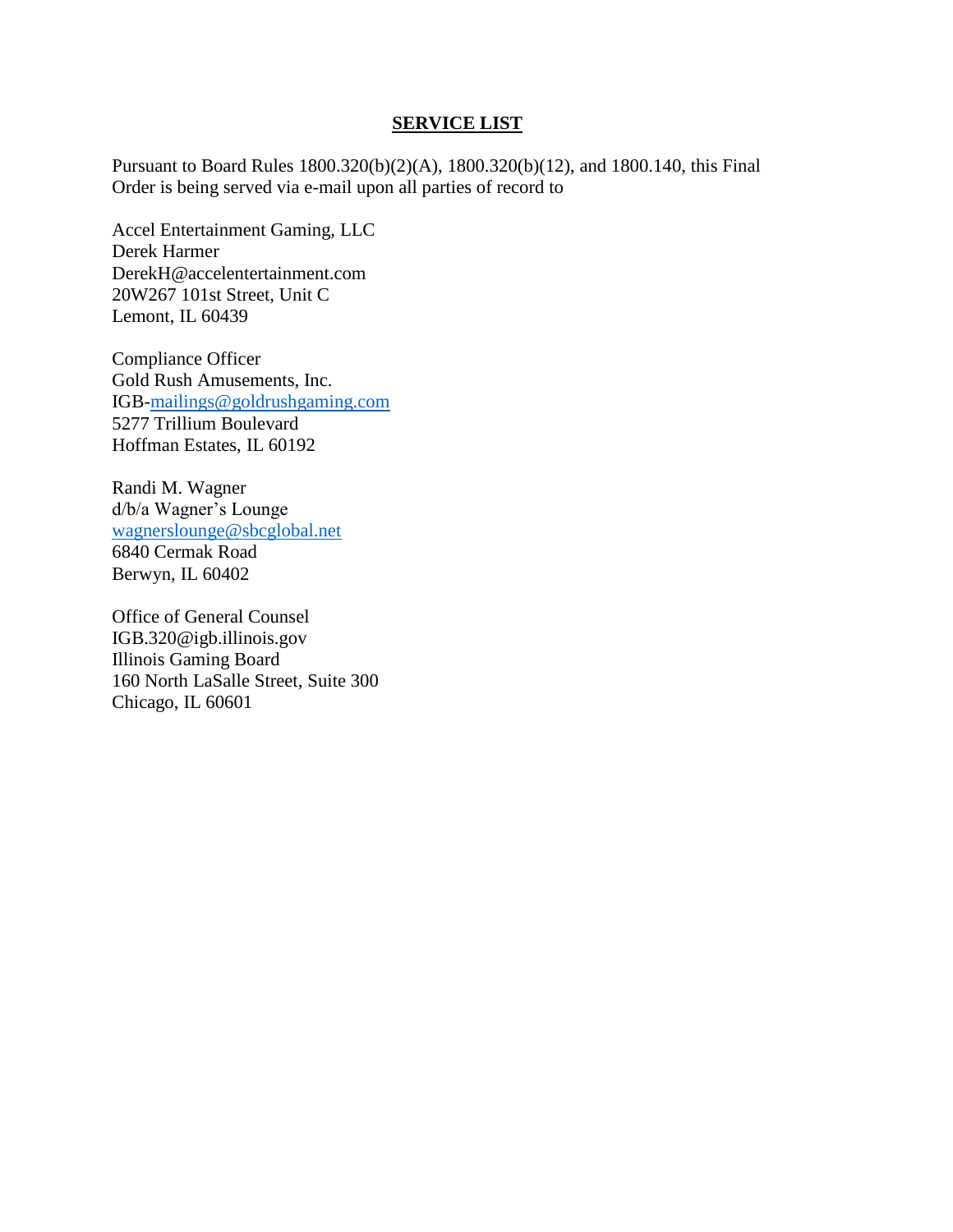#### **SERVICE LIST**

Pursuant to Board Rules 1800.320(b)(2)(A), 1800.320(b)(12), and 1800.140, this Final Order is being served via e-mail upon all parties of record to

Accel Entertainment Gaming, LLC Derek Harmer DerekH@accelentertainment.com 20W267 101st Street, Unit C Lemont, IL 60439

Compliance Officer Gold Rush Amusements, Inc. IGB[-mailings@goldrushgaming.com](mailto:mailings@goldrushgaming.com) 5277 Trillium Boulevard Hoffman Estates, IL 60192

Randi M. Wagner d/b/a Wagner's Lounge [wagnerslounge@sbcglobal.net](mailto:wagnerslounge@sbcglobal.net) 6840 Cermak Road Berwyn, IL 60402

Office of General Counsel IGB.320@igb.illinois.gov Illinois Gaming Board 160 North LaSalle Street, Suite 300 Chicago, IL 60601